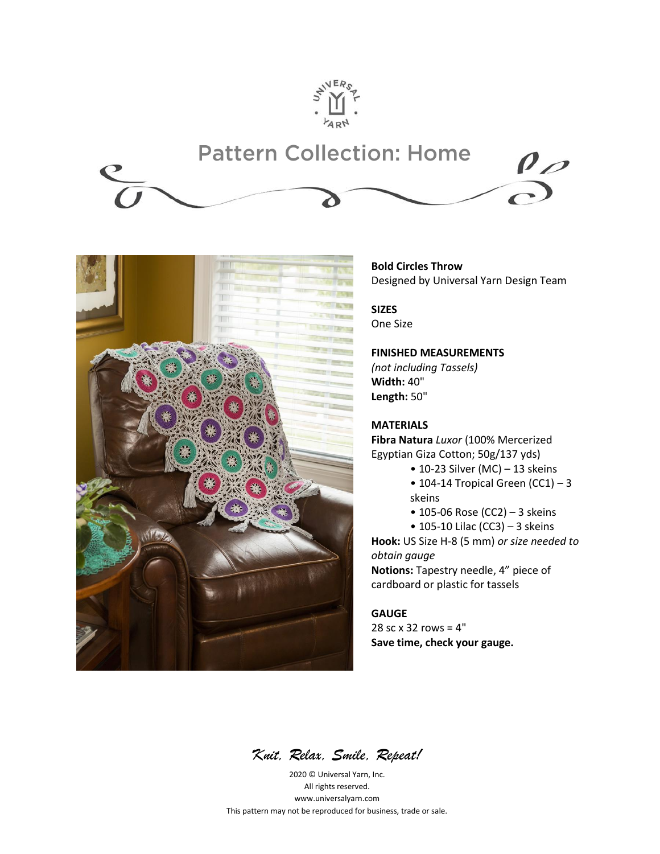





## **Bold Circles Throw** Designed by Universal Yarn Design Team

**SIZES** One Size

## **FINISHED MEASUREMENTS**

*(not including Tassels)* **Width:** 40" **Length:** 50"

## **MATERIALS**

**Fibra Natura** *Luxor* (100% Mercerized Egyptian Giza Cotton; 50g/137 yds)

- $\bullet$  10-23 Silver (MC) 13 skeins
- $\bullet$  104-14 Tropical Green (CC1) 3 skeins
- 105-06 Rose (CC2) 3 skeins
- 105-10 Lilac (CC3) 3 skeins

**Hook:** US Size H-8 (5 mm) *or size needed to obtain gauge*

**Notions:** Tapestry needle, 4" piece of cardboard or plastic for tassels

# **GAUGE**

28 sc x 32 rows = 4" **Save time, check your gauge.**

*Knit, Relax, Smile, Repeat!*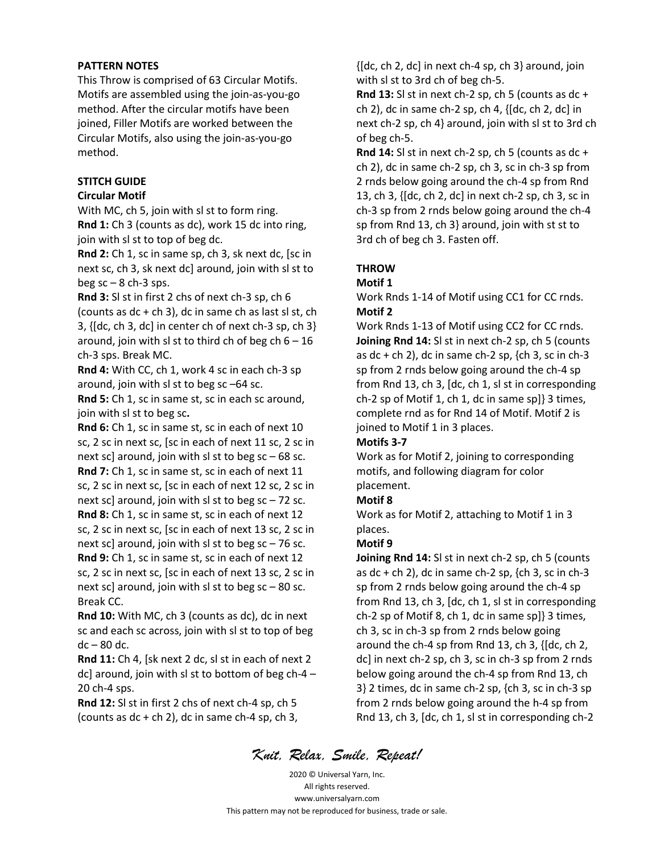### **PATTERN NOTES**

This Throw is comprised of 63 Circular Motifs. Motifs are assembled using the join-as-you-go method. After the circular motifs have been joined, Filler Motifs are worked between the Circular Motifs, also using the join-as-you-go method.

## **STITCH GUIDE**

### **Circular Motif**

With MC, ch 5, join with sl st to form ring. **Rnd 1:** Ch 3 (counts as dc), work 15 dc into ring, join with sl st to top of beg dc.

**Rnd 2:** Ch 1, sc in same sp, ch 3, sk next dc, [sc in next sc, ch 3, sk next dc] around, join with sl st to beg  $sc - 8$  ch-3 sps.

**Rnd 3:** Sl st in first 2 chs of next ch-3 sp, ch 6 (counts as  $dc + ch$  3), dc in same ch as last sl st, ch 3, {[dc, ch 3, dc] in center ch of next ch-3 sp, ch 3} around, join with sl st to third ch of beg ch  $6 - 16$ ch-3 sps. Break MC.

**Rnd 4:** With CC, ch 1, work 4 sc in each ch-3 sp around, join with sl st to beg sc –64 sc.

**Rnd 5:** Ch 1, sc in same st, sc in each sc around, join with sl st to beg sc**.**

**Rnd 6:** Ch 1, sc in same st, sc in each of next 10 sc, 2 sc in next sc, [sc in each of next 11 sc, 2 sc in next sc] around, join with sl st to beg  $sc - 68$  sc. **Rnd 7:** Ch 1, sc in same st, sc in each of next 11 sc, 2 sc in next sc, [sc in each of next 12 sc, 2 sc in next sc] around, join with sl st to beg  $sc - 72$  sc. **Rnd 8:** Ch 1, sc in same st, sc in each of next 12

sc, 2 sc in next sc, [sc in each of next 13 sc, 2 sc in next sc] around, join with sl st to beg  $sc - 76$  sc. **Rnd 9:** Ch 1, sc in same st, sc in each of next 12 sc, 2 sc in next sc, [sc in each of next 13 sc, 2 sc in next sc] around, join with sl st to beg  $sc - 80$  sc.

Break CC.

**Rnd 10:** With MC, ch 3 (counts as dc), dc in next sc and each sc across, join with sl st to top of beg dc – 80 dc.

**Rnd 11:** Ch 4, [sk next 2 dc, sl st in each of next 2 dc] around, join with sl st to bottom of beg ch-4 – 20 ch-4 sps.

**Rnd 12:** Sl st in first 2 chs of next ch-4 sp, ch 5 (counts as  $dc + ch 2$ ), dc in same  $ch-4$  sp,  $ch 3$ , {[dc, ch 2, dc] in next ch-4 sp, ch 3} around, join with sl st to 3rd ch of beg ch-5.

**Rnd 13:** Sl st in next ch-2 sp, ch 5 (counts as dc + ch 2), dc in same ch-2 sp, ch 4, {[dc, ch 2, dc] in next ch-2 sp, ch 4} around, join with sl st to 3rd ch of beg ch-5.

**Rnd 14:** Sl st in next ch-2 sp, ch 5 (counts as dc + ch 2), dc in same ch-2 sp, ch 3, sc in ch-3 sp from 2 rnds below going around the ch-4 sp from Rnd 13, ch 3, {[dc, ch 2, dc] in next ch-2 sp, ch 3, sc in ch-3 sp from 2 rnds below going around the ch-4 sp from Rnd 13, ch 3} around, join with st st to 3rd ch of beg ch 3. Fasten off.

## **THROW**

### **Motif 1**

Work Rnds 1-14 of Motif using CC1 for CC rnds. **Motif 2**

Work Rnds 1-13 of Motif using CC2 for CC rnds. **Joining Rnd 14:** Sl st in next ch-2 sp, ch 5 (counts as dc + ch 2), dc in same ch-2 sp,  $\{ch\ 3, sc\ in\ ch-3\}$ sp from 2 rnds below going around the ch-4 sp from Rnd 13, ch 3, [dc, ch 1, sl st in corresponding ch-2 sp of Motif 1, ch 1, dc in same sp]} 3 times, complete rnd as for Rnd 14 of Motif. Motif 2 is joined to Motif 1 in 3 places.

## **Motifs 3-7**

Work as for Motif 2, joining to corresponding motifs, and following diagram for color placement.

### **Motif 8**

Work as for Motif 2, attaching to Motif 1 in 3 places.

### **Motif 9**

**Joining Rnd 14:** Sl st in next ch-2 sp, ch 5 (counts as dc + ch 2), dc in same ch-2 sp,  $\{ch\ 3, sc\ in\ ch-3\}$ sp from 2 rnds below going around the ch-4 sp from Rnd 13, ch 3, [dc, ch 1, sl st in corresponding ch-2 sp of Motif 8, ch 1, dc in same sp]} 3 times, ch 3, sc in ch-3 sp from 2 rnds below going around the ch-4 sp from Rnd 13, ch 3, {[dc, ch 2, dc] in next ch-2 sp, ch 3, sc in ch-3 sp from 2 rnds below going around the ch-4 sp from Rnd 13, ch 3} 2 times, dc in same ch-2 sp, {ch 3, sc in ch-3 sp from 2 rnds below going around the h-4 sp from Rnd 13, ch 3, [dc, ch 1, sl st in corresponding ch-2

*Knit, Relax, Smile, Repeat!*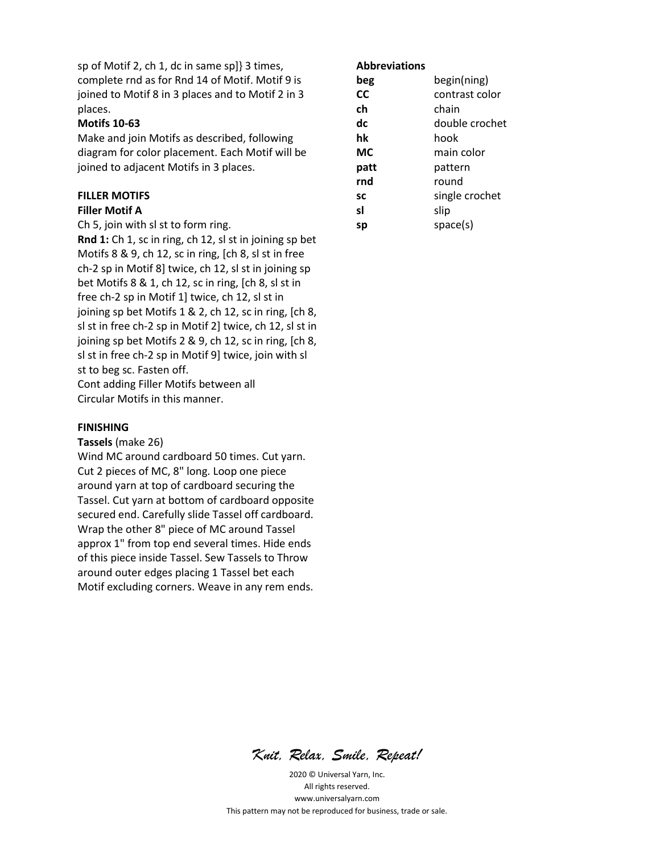sp of Motif 2, ch 1, dc in same sp]} 3 times, complete rnd as for Rnd 14 of Motif. Motif 9 is joined to Motif 8 in 3 places and to Motif 2 in 3 places.

## **Motifs 10-63**

Make and join Motifs as described, following diagram for color placement. Each Motif will be joined to adjacent Motifs in 3 places.

## **FILLER MOTIFS**

#### **Filler Motif A**

Ch 5, join with sl st to form ring.

**Rnd 1:** Ch 1, sc in ring, ch 12, sl st in joining sp bet Motifs 8 & 9, ch 12, sc in ring, [ch 8, sl st in free ch-2 sp in Motif 8] twice, ch 12, sl st in joining sp bet Motifs 8 & 1, ch 12, sc in ring, [ch 8, sl st in free ch-2 sp in Motif 1] twice, ch 12, sl st in joining sp bet Motifs 1 & 2, ch 12, sc in ring, [ch 8, sl st in free ch-2 sp in Motif 2] twice, ch 12, sl st in joining sp bet Motifs 2 & 9, ch 12, sc in ring, [ch 8, sl st in free ch-2 sp in Motif 9] twice, join with sl st to beg sc. Fasten off. Cont adding Filler Motifs between all

Circular Motifs in this manner.

#### **FINISHING**

**Tassels** (make 26)

Wind MC around cardboard 50 times. Cut yarn. Cut 2 pieces of MC, 8" long. Loop one piece around yarn at top of cardboard securing the Tassel. Cut yarn at bottom of cardboard opposite secured end. Carefully slide Tassel off cardboard. Wrap the other 8" piece of MC around Tassel approx 1" from top end several times. Hide ends of this piece inside Tassel. Sew Tassels to Throw around outer edges placing 1 Tassel bet each Motif excluding corners. Weave in any rem ends.

#### **Abbreviations**

| beg  | begin(ning)    |
|------|----------------|
| СC   | contrast color |
| ch   | chain          |
| dc   | double crochet |
| hk   | hook           |
| МC   | main color     |
| patt | pattern        |
| rnd  | round          |
| SC   | single crochet |
| sl   | slip           |
| sp   | space(s)       |

*Knit, Relax, Smile, Repeat!*